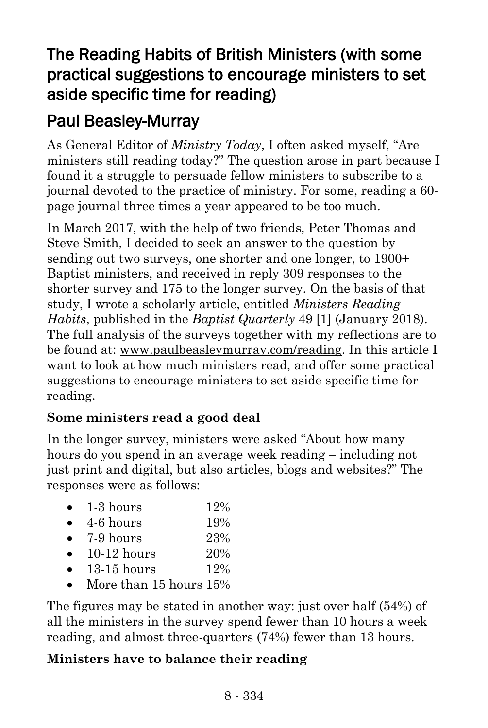# The Reading Habits of British Ministers (with some practical suggestions to encourage ministers to set aside specific time for reading)

# Paul Beasley-Murray

As General Editor of *Ministry Today*, I often asked myself, "Are ministers still reading today?" The question arose in part because I found it a struggle to persuade fellow ministers to subscribe to a journal devoted to the practice of ministry. For some, reading a 60 page journal three times a year appeared to be too much.

In March 2017, with the help of two friends, Peter Thomas and Steve Smith, I decided to seek an answer to the question by sending out two surveys, one shorter and one longer, to 1900+ Baptist ministers, and received in reply 309 responses to the shorter survey and 175 to the longer survey. On the basis of that study, I wrote a scholarly article, entitled *Ministers Reading Habits*, published in the *Baptist Quarterly* 49 [1] (January 2018). The full analysis of the surveys together with my reflections are to be found at: [www.paulbeasleymurray.com/reading.](http://www.paulbeasleymurray.com/reading) In this article I want to look at how much ministers read, and offer some practical suggestions to encourage ministers to set aside specific time for reading.

## **Some ministers read a good deal**

In the longer survey, ministers were asked "About how many hours do you spend in an average week reading – including not just print and digital, but also articles, blogs and websites?" The responses were as follows:

| 1-3 hours | 12% |
|-----------|-----|
|           |     |

- $\bullet$  4-6 hours 19%
- $\bullet$  7-9 hours 23%
- $10-12$  hours  $20\%$
- 13-15 hours 12%
- More than 15 hours 15%

The figures may be stated in another way: just over half (54%) of all the ministers in the survey spend fewer than 10 hours a week reading, and almost three-quarters (74%) fewer than 13 hours.

## **Ministers have to balance their reading**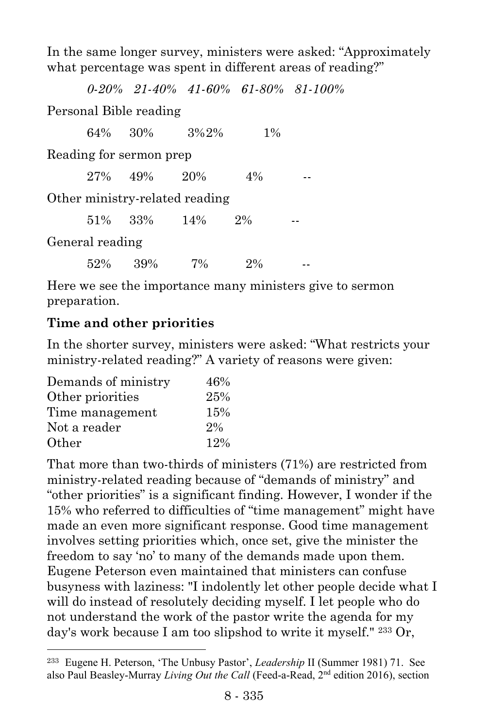In the same longer survey, ministers were asked: "Approximately what percentage was spent in different areas of reading?"

*0-20% 21-40% 41-60% 61-80% 81-100%*

Personal Bible reading

|                         | 64% 30%         |     | $3\%2\%$                       | $1\%$ |  |
|-------------------------|-----------------|-----|--------------------------------|-------|--|
| Reading for sermon prep |                 |     |                                |       |  |
|                         | $27\% - 49\%$   |     | 20%                            | $4\%$ |  |
|                         |                 |     | Other ministry-related reading |       |  |
|                         | $51\%$ 33%      |     | $14\%$                         | $2\%$ |  |
|                         | General reading |     |                                |       |  |
|                         | 52%             | 39% | $7\%$                          | $2\%$ |  |

Here we see the importance many ministers give to sermon preparation.

#### **Time and other priorities**

In the shorter survey, ministers were asked: "What restricts your ministry-related reading?" A variety of reasons were given:

| Demands of ministry | 46%   |
|---------------------|-------|
| Other priorities    | 25%   |
| Time management     | 15%   |
| Not a reader        | $2\%$ |
| Other               | 12%   |

l

That more than two-thirds of ministers (71%) are restricted from ministry-related reading because of "demands of ministry" and "other priorities" is a significant finding. However, I wonder if the 15% who referred to difficulties of "time management" might have made an even more significant response. Good time management involves setting priorities which, once set, give the minister the freedom to say 'no' to many of the demands made upon them. Eugene Peterson even maintained that ministers can confuse busyness with laziness: "I indolently let other people decide what I will do instead of resolutely deciding myself. I let people who do not understand the work of the pastor write the agenda for my day's work because I am too slipshod to write it myself." <sup>233</sup> Or,

<sup>233</sup> Eugene H. Peterson, 'The Unbusy Pastor', *Leadership* II (Summer 1981) 71. See also Paul Beasley-Murray *Living Out the Call* (Feed-a-Read, 2nd edition 2016), section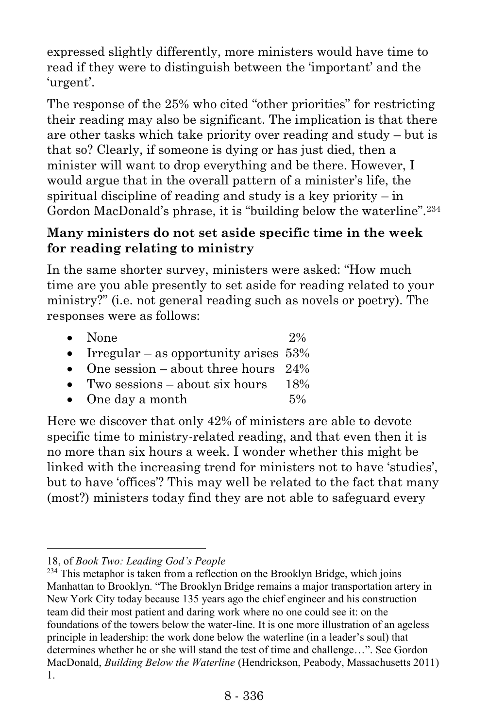expressed slightly differently, more ministers would have time to read if they were to distinguish between the 'important' and the 'urgent'.

The response of the 25% who cited "other priorities" for restricting their reading may also be significant. The implication is that there are other tasks which take priority over reading and study – but is that so? Clearly, if someone is dying or has just died, then a minister will want to drop everything and be there. However, I would argue that in the overall pattern of a minister's life, the spiritual discipline of reading and study is a key priority – in Gordon MacDonald's phrase, it is "building below the waterline".<sup>234</sup>

#### **Many ministers do not set aside specific time in the week for reading relating to ministry**

In the same shorter survey, ministers were asked: "How much time are you able presently to set aside for reading related to your ministry?" (i.e. not general reading such as novels or poetry). The responses were as follows:

| $\bullet$ None                             | $2\%$ |
|--------------------------------------------|-------|
| • Irregular – as opportunity arises $53\%$ |       |
| • One session – about three hours $24\%$   |       |
| • Two sessions $-$ about six hours         | 18%   |
| $\bullet$ One day a month                  | $5\%$ |

Here we discover that only 42% of ministers are able to devote specific time to ministry-related reading, and that even then it is no more than six hours a week. I wonder whether this might be linked with the increasing trend for ministers not to have 'studies', but to have 'offices'? This may well be related to the fact that many (most?) ministers today find they are not able to safeguard every

l

<sup>18,</sup> of *Book Two: Leading God's People*

 $234$  This metaphor is taken from a reflection on the Brooklyn Bridge, which joins Manhattan to Brooklyn. "The Brooklyn Bridge remains a major transportation artery in New York City today because 135 years ago the chief engineer and his construction team did their most patient and daring work where no one could see it: on the foundations of the towers below the water-line. It is one more illustration of an ageless principle in leadership: the work done below the waterline (in a leader's soul) that determines whether he or she will stand the test of time and challenge…". See Gordon MacDonald, *Building Below the Waterline* (Hendrickson, Peabody, Massachusetts 2011) 1.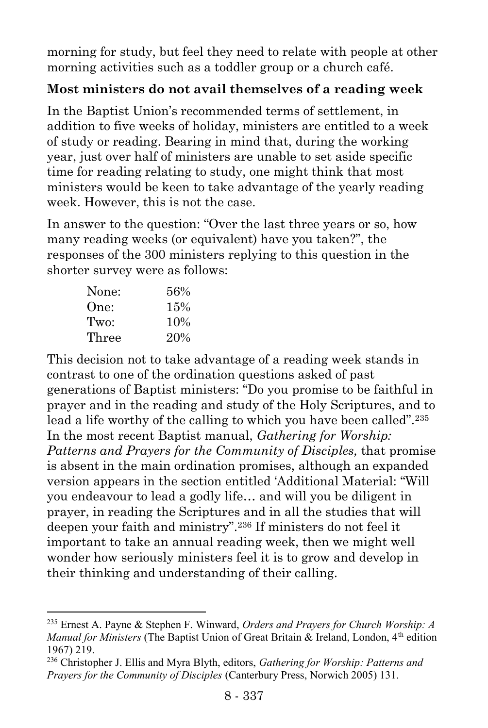morning for study, but feel they need to relate with people at other morning activities such as a toddler group or a church café.

## **Most ministers do not avail themselves of a reading week**

In the Baptist Union's recommended terms of settlement, in addition to five weeks of holiday, ministers are entitled to a week of study or reading. Bearing in mind that, during the working year, just over half of ministers are unable to set aside specific time for reading relating to study, one might think that most ministers would be keen to take advantage of the yearly reading week. However, this is not the case.

In answer to the question: "Over the last three years or so, how many reading weeks (or equivalent) have you taken?", the responses of the 300 ministers replying to this question in the shorter survey were as follows:

| None: | 56% |
|-------|-----|
| One:  | 15% |
| Two:  | 10% |
| Three | 20% |

 $\overline{a}$ 

This decision not to take advantage of a reading week stands in contrast to one of the ordination questions asked of past generations of Baptist ministers: "Do you promise to be faithful in prayer and in the reading and study of the Holy Scriptures, and to lead a life worthy of the calling to which you have been called".<sup>235</sup> In the most recent Baptist manual, *Gathering for Worship: Patterns and Prayers for the Community of Disciples,* that promise is absent in the main ordination promises, although an expanded version appears in the section entitled 'Additional Material: "Will you endeavour to lead a godly life… and will you be diligent in prayer, in reading the Scriptures and in all the studies that will deepen your faith and ministry".<sup>236</sup> If ministers do not feel it important to take an annual reading week, then we might well wonder how seriously ministers feel it is to grow and develop in their thinking and understanding of their calling.

<sup>235</sup> Ernest A. Payne & Stephen F. Winward, *Orders and Prayers for Church Worship: A Manual for Ministers* (The Baptist Union of Great Britain & Ireland, London, 4<sup>th</sup> edition 1967) 219.

<sup>236</sup> Christopher J. Ellis and Myra Blyth, editors, *Gathering for Worship: Patterns and Prayers for the Community of Disciples* (Canterbury Press, Norwich 2005) 131.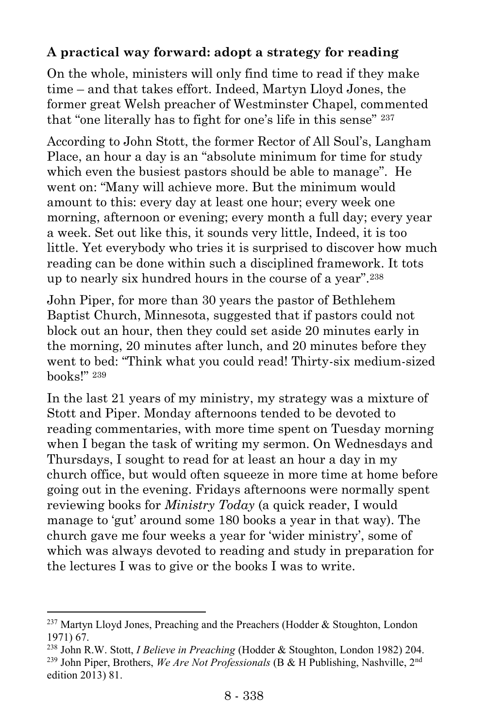## **A practical way forward: adopt a strategy for reading**

On the whole, ministers will only find time to read if they make time – and that takes effort. Indeed, Martyn Lloyd Jones, the former great Welsh preacher of Westminster Chapel, commented that "one literally has to fight for one's life in this sense" <sup>237</sup>

According to John Stott, the former Rector of All Soul's, Langham Place, an hour a day is an "absolute minimum for time for study which even the busiest pastors should be able to manage". He went on: "Many will achieve more. But the minimum would amount to this: every day at least one hour; every week one morning, afternoon or evening; every month a full day; every year a week. Set out like this, it sounds very little, Indeed, it is too little. Yet everybody who tries it is surprised to discover how much reading can be done within such a disciplined framework. It tots up to nearly six hundred hours in the course of a year".<sup>238</sup>

John Piper, for more than 30 years the pastor of Bethlehem Baptist Church, Minnesota, suggested that if pastors could not block out an hour, then they could set aside 20 minutes early in the morning, 20 minutes after lunch, and 20 minutes before they went to bed: "Think what you could read! Thirty-six medium-sized books!" <sup>239</sup>

In the last 21 years of my ministry, my strategy was a mixture of Stott and Piper. Monday afternoons tended to be devoted to reading commentaries, with more time spent on Tuesday morning when I began the task of writing my sermon. On Wednesdays and Thursdays, I sought to read for at least an hour a day in my church office, but would often squeeze in more time at home before going out in the evening. Fridays afternoons were normally spent reviewing books for *Ministry Today* (a quick reader, I would manage to 'gut' around some 180 books a year in that way). The church gave me four weeks a year for 'wider ministry', some of which was always devoted to reading and study in preparation for the lectures I was to give or the books I was to write.

 $\overline{a}$ 

 $237$  Martyn Lloyd Jones, Preaching and the Preachers (Hodder & Stoughton, London 1971) 67.

<sup>238</sup> John R.W. Stott, *I Believe in Preaching* (Hodder & Stoughton, London 1982) 204. <sup>239</sup> John Piper, Brothers, *We Are Not Professionals* (B & H Publishing, Nashville, 2nd edition 2013) 81.